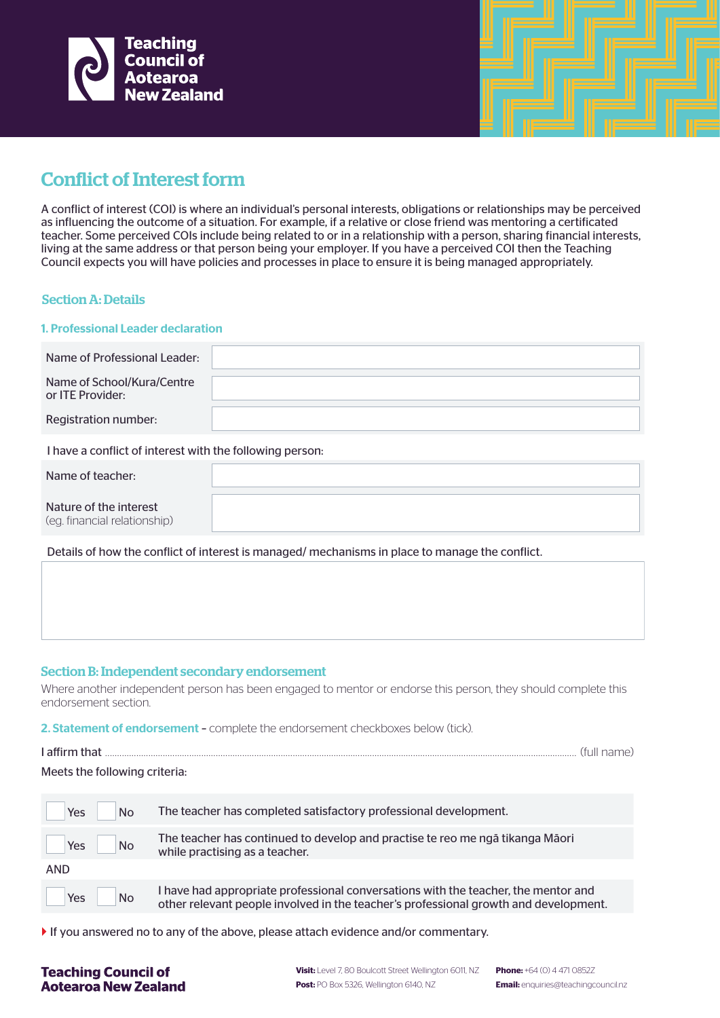

# Conflict of Interest form

A conflict of interest (COI) is where an individual's personal interests, obligations or relationships may be perceived as influencing the outcome of a situation. For example, if a relative or close friend was mentoring a certificated teacher. Some perceived COIs include being related to or in a relationship with a person, sharing financial interests, living at the same address or that person being your employer. If you have a perceived COI then the Teaching Council expects you will have policies and processes in place to ensure it is being managed appropriately.

## Section A: Details

### 1. Professional Leader declaration

| Name of Professional Leader:                   |  |
|------------------------------------------------|--|
| Name of School/Kura/Centre<br>or ITE Provider: |  |
| Registration number:                           |  |

I have a conflict of interest with the following person:

| Name of teacher:                                       |  |
|--------------------------------------------------------|--|
| Nature of the interest<br>(eg. financial relationship) |  |

Details of how the conflict of interest is managed/ mechanisms in place to manage the conflict.

## Section B: Independent secondary endorsement

Where another independent person has been engaged to mentor or endorse this person, they should complete this endorsement section.

2. Statement of endorsement - complete the endorsement checkboxes below (tick).

| I affirm that                 |  |
|-------------------------------|--|
| Meets the following criteria: |  |

| <b>No</b><br>Yes | The teacher has completed satisfactory professional development.                     |
|------------------|--------------------------------------------------------------------------------------|
| <b>No</b>        | The teacher has continued to develop and practise te reo me ngā tikanga Māori        |
| Yes              | while practising as a teacher.                                                       |
| <b>AND</b>       |                                                                                      |
| <b>No</b>        | I have had appropriate professional conversations with the teacher, the mentor and   |
| Yes              | other relevant people involved in the teacher's professional growth and development. |

If you answered no to any of the above, please attach evidence and/or commentary.

## **Teaching Council of Aotearoa New Zealand**